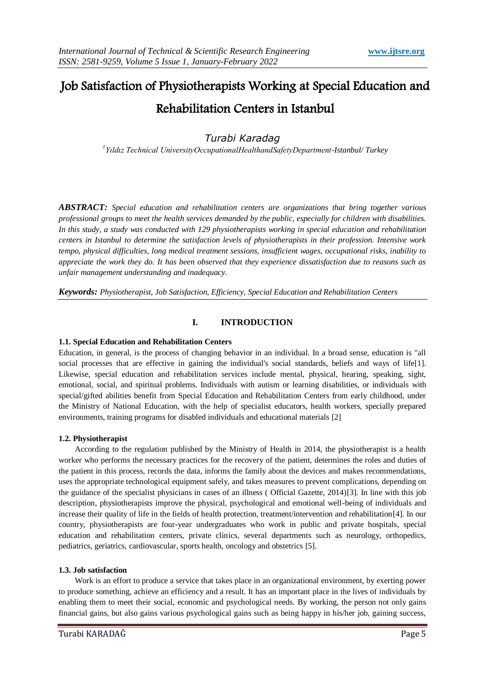# Job Satisfaction of Physiotherapists Working at Special Education and Rehabilitation Centers in Istanbul

*Turabi Karadag*

*1 Yıldız Technical UniversityOccupationalHealthandSafetyDepartment-Istanbul/ Turkey*

*ABSTRACT: Special education and rehabilitation centers are organizations that bring together various professional groups to meet the health services demanded by the public, especially for children with disabilities. In this study, a study was conducted with 129 physiotherapists working in special education and rehabilitation centers in Istanbul to determine the satisfaction levels of physiotherapists in their profession. Intensive work tempo, physical difficulties, long medical treatment sessions, insufficient wages, occupational risks, inability to appreciate the work they do. It has been observed that they experience dissatisfaction due to reasons such as unfair management understanding and inadequacy.*

*Keywords: Physiotherapist, Job Satisfaction, Efficiency, Special Education and Rehabilitation Centers*

# **I. INTRODUCTION**

### **1.1. Special Education and Rehabilitation Centers**

Education, in general, is the process of changing behavior in an individual. In a broad sense, education is "all social processes that are effective in gaining the individual's social standards, beliefs and ways of life[1]. Likewise, special education and rehabilitation services include mental, physical, hearing, speaking, sight, emotional, social, and spiritual problems. Individuals with autism or learning disabilities, or individuals with special/gifted abilities benefit from Special Education and Rehabilitation Centers from early childhood, under the Ministry of National Education, with the help of specialist educators, health workers, specially prepared environments, training programs for disabled individuals and educational materials [2]

### **1.2. Physiotherapist**

According to the regulation published by the Ministry of Health in 2014, the physiotherapist is a health worker who performs the necessary practices for the recovery of the patient, determines the roles and duties of the patient in this process, records the data, informs the family about the devices and makes recommendations, uses the appropriate technological equipment safely, and takes measures to prevent complications, depending on the guidance of the specialist physicians in cases of an illness ( Official Gazette, 2014)[3]. In line with this job description, physiotherapists improve the physical, psychological and emotional well-being of individuals and increase their quality of life in the fields of health protection, treatment/intervention and rehabilitation[4]. In our country, physiotherapists are four-year undergraduates who work in public and private hospitals, special education and rehabilitation centers, private clinics, several departments such as neurology, orthopedics, pediatrics, geriatrics, cardiovascular, sports health, oncology and obstetrics [5].

### **1.3. Job satisfaction**

Work is an effort to produce a service that takes place in an organizational environment, by exerting power to produce something, achieve an efficiency and a result. It has an important place in the lives of individuals by enabling them to meet their social, economic and psychological needs. By working, the person not only gains financial gains, but also gains various psychological gains such as being happy in his/her job, gaining success,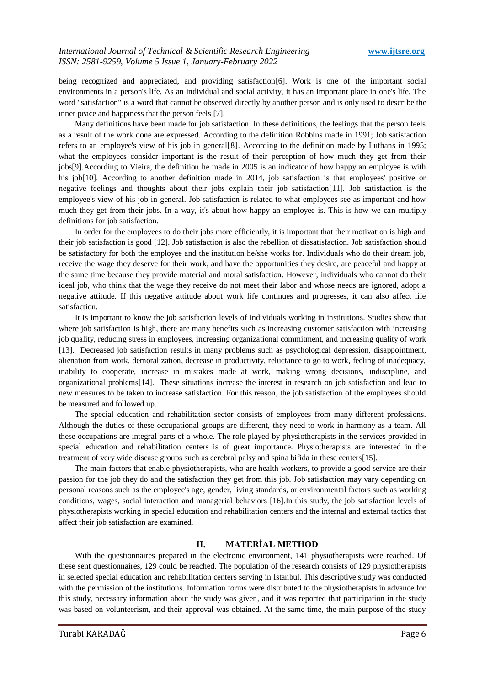being recognized and appreciated, and providing satisfaction[6]. Work is one of the important social environments in a person's life. As an individual and social activity, it has an important place in one's life. The word "satisfaction" is a word that cannot be observed directly by another person and is only used to describe the inner peace and happiness that the person feels [7].

Many definitions have been made for job satisfaction. In these definitions, the feelings that the person feels as a result of the work done are expressed. According to the definition Robbins made in 1991; Job satisfaction refers to an employee's view of his job in general[8]. According to the definition made by Luthans in 1995; what the employees consider important is the result of their perception of how much they get from their jobs[9].According to Vieira, the definition he made in 2005 is an indicator of how happy an employee is with his job[10]. According to another definition made in 2014, job satisfaction is that employees' positive or negative feelings and thoughts about their jobs explain their job satisfaction[11]. Job satisfaction is the employee's view of his job in general. Job satisfaction is related to what employees see as important and how much they get from their jobs. In a way, it's about how happy an employee is. This is how we can multiply definitions for job satisfaction.

In order for the employees to do their jobs more efficiently, it is important that their motivation is high and their job satisfaction is good [12]. Job satisfaction is also the rebellion of dissatisfaction. Job satisfaction should be satisfactory for both the employee and the institution he/she works for. Individuals who do their dream job, receive the wage they deserve for their work, and have the opportunities they desire, are peaceful and happy at the same time because they provide material and moral satisfaction. However, individuals who cannot do their ideal job, who think that the wage they receive do not meet their labor and whose needs are ignored, adopt a negative attitude. If this negative attitude about work life continues and progresses, it can also affect life satisfaction.

It is important to know the job satisfaction levels of individuals working in institutions. Studies show that where job satisfaction is high, there are many benefits such as increasing customer satisfaction with increasing job quality, reducing stress in employees, increasing organizational commitment, and increasing quality of work [13]. Decreased job satisfaction results in many problems such as psychological depression, disappointment, alienation from work, demoralization, decrease in productivity, reluctance to go to work, feeling of inadequacy, inability to cooperate, increase in mistakes made at work, making wrong decisions, indiscipline, and organizational problems[14]. These situations increase the interest in research on job satisfaction and lead to new measures to be taken to increase satisfaction. For this reason, the job satisfaction of the employees should be measured and followed up.

The special education and rehabilitation sector consists of employees from many different professions. Although the duties of these occupational groups are different, they need to work in harmony as a team. All these occupations are integral parts of a whole. The role played by physiotherapists in the services provided in special education and rehabilitation centers is of great importance. Physiotherapists are interested in the treatment of very wide disease groups such as cerebral palsy and spina bifida in these centers[15].

The main factors that enable physiotherapists, who are health workers, to provide a good service are their passion for the job they do and the satisfaction they get from this job. Job satisfaction may vary depending on personal reasons such as the employee's age, gender, living standards, or environmental factors such as working conditions, wages, social interaction and managerial behaviors [16].In this study, the job satisfaction levels of physiotherapists working in special education and rehabilitation centers and the internal and external tactics that affect their job satisfaction are examined.

# **II. MATERİAL METHOD**

With the questionnaires prepared in the electronic environment, 141 physiotherapists were reached. Of these sent questionnaires, 129 could be reached. The population of the research consists of 129 physiotherapists in selected special education and rehabilitation centers serving in Istanbul. This descriptive study was conducted with the permission of the institutions. Information forms were distributed to the physiotherapists in advance for this study, necessary information about the study was given, and it was reported that participation in the study was based on volunteerism, and their approval was obtained. At the same time, the main purpose of the study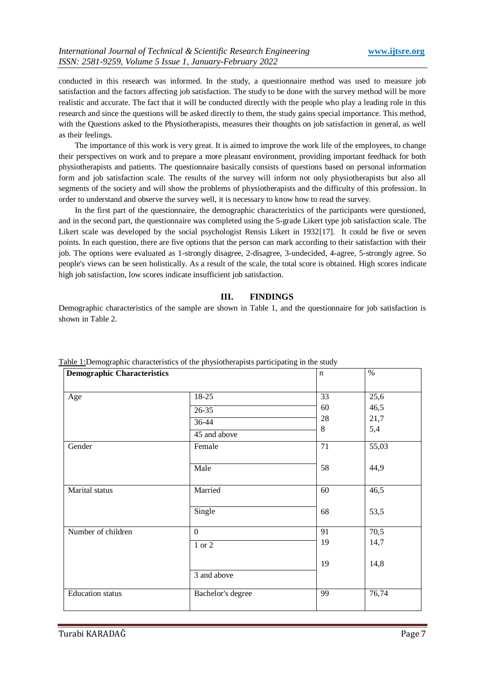conducted in this research was informed. In the study, a questionnaire method was used to measure job satisfaction and the factors affecting job satisfaction. The study to be done with the survey method will be more realistic and accurate. The fact that it will be conducted directly with the people who play a leading role in this research and since the questions will be asked directly to them, the study gains special importance. This method, with the Questions asked to the Physiotherapists, measures their thoughts on job satisfaction in general, as well as their feelings.

The importance of this work is very great. It is aimed to improve the work life of the employees, to change their perspectives on work and to prepare a more pleasant environment, providing important feedback for both physiotherapists and patients. The questionnaire basically consists of questions based on personal information form and job satisfaction scale. The results of the survey will inform not only physiotherapists but also all segments of the society and will show the problems of physiotherapists and the difficulty of this profession. In order to understand and observe the survey well, it is necessary to know how to read the survey.

In the first part of the questionnaire, the demographic characteristics of the participants were questioned, and in the second part, the questionnaire was completed using the 5-grade Likert type job satisfaction scale. The Likert scale was developed by the social psychologist Rensis Likert in 1932[17]. It could be five or seven points. In each question, there are five options that the person can mark according to their satisfaction with their job. The options were evaluated as 1-strongly disagree, 2-disagree, 3-undecided, 4-agree, 5-strongly agree. So people's views can be seen holistically. As a result of the scale, the total score is obtained. High scores indicate high job satisfaction, low scores indicate insufficient job satisfaction.

### **III. FINDINGS**

Demographic characteristics of the sample are shown in Table 1, and the questionnaire for job satisfaction is shown in Table 2.

| <b>Lable 1:Demographic characteristics of the physiotherapists participating in the study</b><br><b>Demographic Characteristics</b> |                   | n       | $\%$  |
|-------------------------------------------------------------------------------------------------------------------------------------|-------------------|---------|-------|
| Age                                                                                                                                 | 18-25             | 33      | 25,6  |
|                                                                                                                                     | $26 - 35$         | 60      | 46,5  |
|                                                                                                                                     | 36-44             | 28      | 21,7  |
|                                                                                                                                     | 45 and above      | $\,8\,$ | 5,4   |
| Gender                                                                                                                              | Female            | 71      | 55,03 |
|                                                                                                                                     | Male              | 58      | 44,9  |
| Marital status                                                                                                                      | Married           | 60      | 46,5  |
|                                                                                                                                     | Single            | 68      | 53,5  |
| Number of children                                                                                                                  | $\overline{0}$    | 91      | 70,5  |
|                                                                                                                                     | 1 or 2            | 19      | 14,7  |
|                                                                                                                                     | 3 and above       | 19      | 14,8  |
| <b>Education</b> status                                                                                                             | Bachelor's degree | 99      | 76,74 |

ographic characteristics of the physiotherapists participating in the study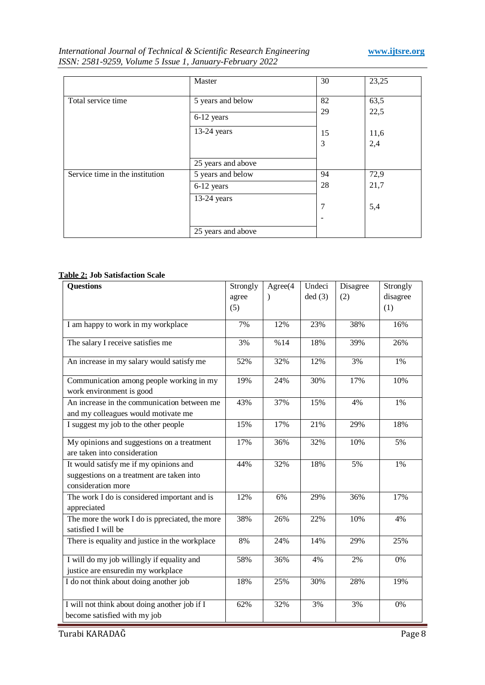# *International Journal of Technical & Scientific Research Engineering* **www.ijtsre.org** *ISSN: 2581-9259, Volume 5 Issue 1, January-February 2022*

|                                 | Master             | 30 | 23,25 |
|---------------------------------|--------------------|----|-------|
| Total service time              | 5 years and below  | 82 | 63,5  |
|                                 | 6-12 years         | 29 | 22,5  |
|                                 | 13-24 years        | 15 | 11,6  |
|                                 |                    | 3  | 2,4   |
|                                 | 25 years and above |    |       |
| Service time in the institution | 5 years and below  | 94 | 72,9  |
|                                 | 6-12 years         | 28 | 21,7  |
|                                 | 13-24 years        | 7  | 5,4   |
|                                 |                    |    |       |
|                                 | 25 years and above |    |       |

# **Table 2: Job Satisfaction Scale**

| <b>Questions</b>                                                                                          | Strongly | Agree(4   | Undeci | Disagree | Strongly |
|-----------------------------------------------------------------------------------------------------------|----------|-----------|--------|----------|----------|
|                                                                                                           | agree    | $\lambda$ | ded(3) | (2)      | disagree |
|                                                                                                           | (5)      |           |        |          | (1)      |
| I am happy to work in my workplace                                                                        | 7%       | 12%       | 23%    | 38%      | 16%      |
| The salary I receive satisfies me                                                                         | 3%       | %14       | 18%    | 39%      | 26%      |
| An increase in my salary would satisfy me                                                                 | 52%      | 32%       | 12%    | 3%       | 1%       |
| Communication among people working in my<br>work environment is good                                      | 19%      | 24%       | 30%    | 17%      | 10%      |
| An increase in the communication between me<br>and my colleagues would motivate me                        | 43%      | 37%       | 15%    | 4%       | 1%       |
| I suggest my job to the other people                                                                      | 15%      | 17%       | 21%    | 29%      | 18%      |
| My opinions and suggestions on a treatment<br>are taken into consideration                                | 17%      | 36%       | 32%    | 10%      | 5%       |
| It would satisfy me if my opinions and<br>suggestions on a treatment are taken into<br>consideration more | 44%      | 32%       | 18%    | 5%       | 1%       |
| The work I do is considered important and is<br>appreciated                                               | 12%      | 6%        | 29%    | 36%      | 17%      |
| The more the work I do is ppreciated, the more<br>satisfied I will be                                     | 38%      | 26%       | 22%    | 10%      | 4%       |
| There is equality and justice in the workplace                                                            | $8\%$    | 24%       | 14%    | 29%      | 25%      |
| I will do my job willingly if equality and<br>justice are ensuredin my workplace                          | 58%      | 36%       | 4%     | 2%       | 0%       |
| I do not think about doing another job                                                                    | 18%      | 25%       | 30%    | 28%      | 19%      |
| I will not think about doing another job if I<br>become satisfied with my job                             | 62%      | 32%       | 3%     | 3%       | 0%       |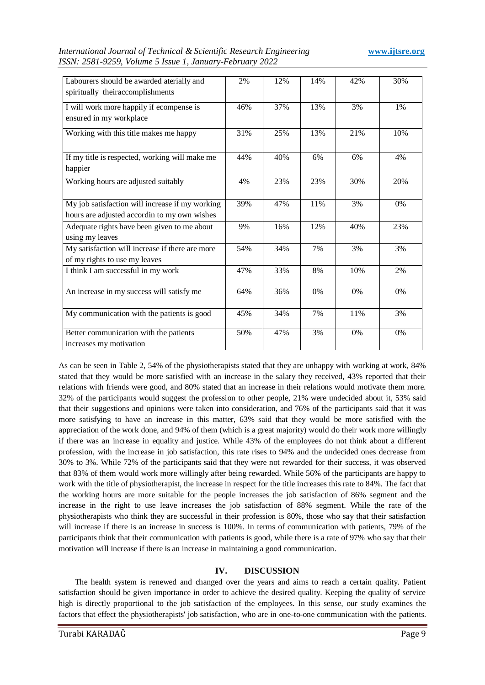| International Journal of Technical & Scientific Research Engineering |  |  |
|----------------------------------------------------------------------|--|--|
| ISSN: 2581-9259, Volume 5 Issue 1, January-February 2022             |  |  |

| Labourers should be awarded aterially and       | 2%  | 12% | 14%   | 42% | 30% |
|-------------------------------------------------|-----|-----|-------|-----|-----|
| spiritually theiraccomplishments                |     |     |       |     |     |
|                                                 |     |     |       |     |     |
| I will work more happily if ecompense is        | 46% | 37% | 13%   | 3%  | 1%  |
| ensured in my workplace                         |     |     |       |     |     |
|                                                 |     |     |       |     |     |
| Working with this title makes me happy          | 31% | 25% | 13%   | 21% | 10% |
|                                                 |     |     |       |     |     |
| If my title is respected, working will make me  | 44% | 40% | 6%    | 6%  | 4%  |
|                                                 |     |     |       |     |     |
| happier                                         |     |     |       |     |     |
| Working hours are adjusted suitably             | 4%  | 23% | 23%   | 30% | 20% |
|                                                 |     |     |       |     |     |
|                                                 |     |     |       |     |     |
| My job satisfaction will increase if my working | 39% | 47% | 11%   | 3%  | 0%  |
| hours are adjusted accordin to my own wishes    |     |     |       |     |     |
| Adequate rights have been given to me about     | 9%  | 16% | 12%   | 40% | 23% |
| using my leaves                                 |     |     |       |     |     |
| My satisfaction will increase if there are more | 54% | 34% | 7%    | 3%  | 3%  |
|                                                 |     |     |       |     |     |
| of my rights to use my leaves                   |     |     |       |     |     |
| I think I am successful in my work              | 47% | 33% | 8%    | 10% | 2%  |
|                                                 |     |     |       |     |     |
| An increase in my success will satisfy me       | 64% | 36% | $0\%$ | 0%  | 0%  |
|                                                 |     |     |       |     |     |
| My communication with the patients is good      | 45% | 34% | 7%    | 11% | 3%  |
|                                                 |     |     |       |     |     |
|                                                 |     |     |       |     |     |
| Better communication with the patients          | 50% | 47% | 3%    | 0%  | 0%  |
| increases my motivation                         |     |     |       |     |     |

As can be seen in Table 2, 54% of the physiotherapists stated that they are unhappy with working at work, 84% stated that they would be more satisfied with an increase in the salary they received, 43% reported that their relations with friends were good, and 80% stated that an increase in their relations would motivate them more. 32% of the participants would suggest the profession to other people, 21% were undecided about it, 53% said that their suggestions and opinions were taken into consideration, and 76% of the participants said that it was more satisfying to have an increase in this matter, 63% said that they would be more satisfied with the appreciation of the work done, and 94% of them (which is a great majority) would do their work more willingly if there was an increase in equality and justice. While 43% of the employees do not think about a different profession, with the increase in job satisfaction, this rate rises to 94% and the undecided ones decrease from 30% to 3%. While 72% of the participants said that they were not rewarded for their success, it was observed that 83% of them would work more willingly after being rewarded. While 56% of the participants are happy to work with the title of physiotherapist, the increase in respect for the title increases this rate to 84%. The fact that the working hours are more suitable for the people increases the job satisfaction of 86% segment and the increase in the right to use leave increases the job satisfaction of 88% segment. While the rate of the physiotherapists who think they are successful in their profession is 80%, those who say that their satisfaction will increase if there is an increase in success is 100%. In terms of communication with patients, 79% of the participants think that their communication with patients is good, while there is a rate of 97% who say that their motivation will increase if there is an increase in maintaining a good communication.

# **IV. DISCUSSION**

The health system is renewed and changed over the years and aims to reach a certain quality. Patient satisfaction should be given importance in order to achieve the desired quality. Keeping the quality of service high is directly proportional to the job satisfaction of the employees. In this sense, our study examines the factors that effect the physiotherapists' job satisfaction, who are in one-to-one communication with the patients.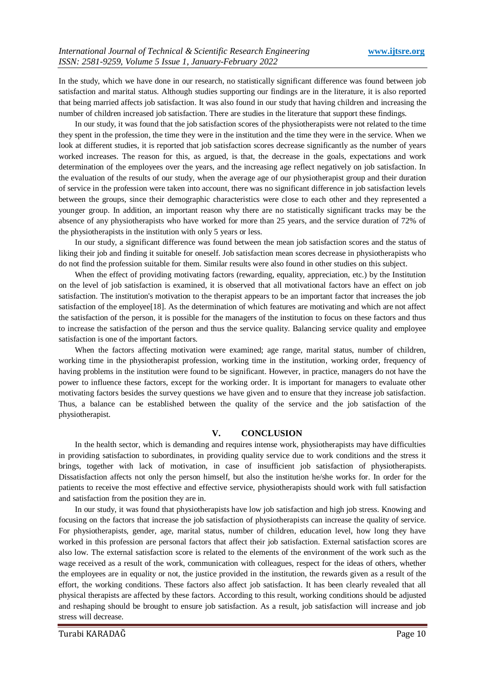In the study, which we have done in our research, no statistically significant difference was found between job satisfaction and marital status. Although studies supporting our findings are in the literature, it is also reported that being married affects job satisfaction. It was also found in our study that having children and increasing the number of children increased job satisfaction. There are studies in the literature that support these findings.

In our study, it was found that the job satisfaction scores of the physiotherapists were not related to the time they spent in the profession, the time they were in the institution and the time they were in the service. When we look at different studies, it is reported that job satisfaction scores decrease significantly as the number of years worked increases. The reason for this, as argued, is that, the decrease in the goals, expectations and work determination of the employees over the years, and the increasing age reflect negatively on job satisfaction. In the evaluation of the results of our study, when the average age of our physiotherapist group and their duration of service in the profession were taken into account, there was no significant difference in job satisfaction levels between the groups, since their demographic characteristics were close to each other and they represented a younger group. In addition, an important reason why there are no statistically significant tracks may be the absence of any physiotherapists who have worked for more than 25 years, and the service duration of 72% of the physiotherapists in the institution with only 5 years or less.

In our study, a significant difference was found between the mean job satisfaction scores and the status of liking their job and finding it suitable for oneself. Job satisfaction mean scores decrease in physiotherapists who do not find the profession suitable for them. Similar results were also found in other studies on this subject.

When the effect of providing motivating factors (rewarding, equality, appreciation, etc.) by the Institution on the level of job satisfaction is examined, it is observed that all motivational factors have an effect on job satisfaction. The institution's motivation to the therapist appears to be an important factor that increases the job satisfaction of the employee[18]. As the determination of which features are motivating and which are not affect the satisfaction of the person, it is possible for the managers of the institution to focus on these factors and thus to increase the satisfaction of the person and thus the service quality. Balancing service quality and employee satisfaction is one of the important factors.

When the factors affecting motivation were examined; age range, marital status, number of children, working time in the physiotherapist profession, working time in the institution, working order, frequency of having problems in the institution were found to be significant. However, in practice, managers do not have the power to influence these factors, except for the working order. It is important for managers to evaluate other motivating factors besides the survey questions we have given and to ensure that they increase job satisfaction. Thus, a balance can be established between the quality of the service and the job satisfaction of the physiotherapist.

# **V. CONCLUSION**

In the health sector, which is demanding and requires intense work, physiotherapists may have difficulties in providing satisfaction to subordinates, in providing quality service due to work conditions and the stress it brings, together with lack of motivation, in case of insufficient job satisfaction of physiotherapists. Dissatisfaction affects not only the person himself, but also the institution he/she works for. In order for the patients to receive the most effective and effective service, physiotherapists should work with full satisfaction and satisfaction from the position they are in.

In our study, it was found that physiotherapists have low job satisfaction and high job stress. Knowing and focusing on the factors that increase the job satisfaction of physiotherapists can increase the quality of service. For physiotherapists, gender, age, marital status, number of children, education level, how long they have worked in this profession are personal factors that affect their job satisfaction. External satisfaction scores are also low. The external satisfaction score is related to the elements of the environment of the work such as the wage received as a result of the work, communication with colleagues, respect for the ideas of others, whether the employees are in equality or not, the justice provided in the institution, the rewards given as a result of the effort, the working conditions. These factors also affect job satisfaction. It has been clearly revealed that all physical therapists are affected by these factors. According to this result, working conditions should be adjusted and reshaping should be brought to ensure job satisfaction. As a result, job satisfaction will increase and job stress will decrease.